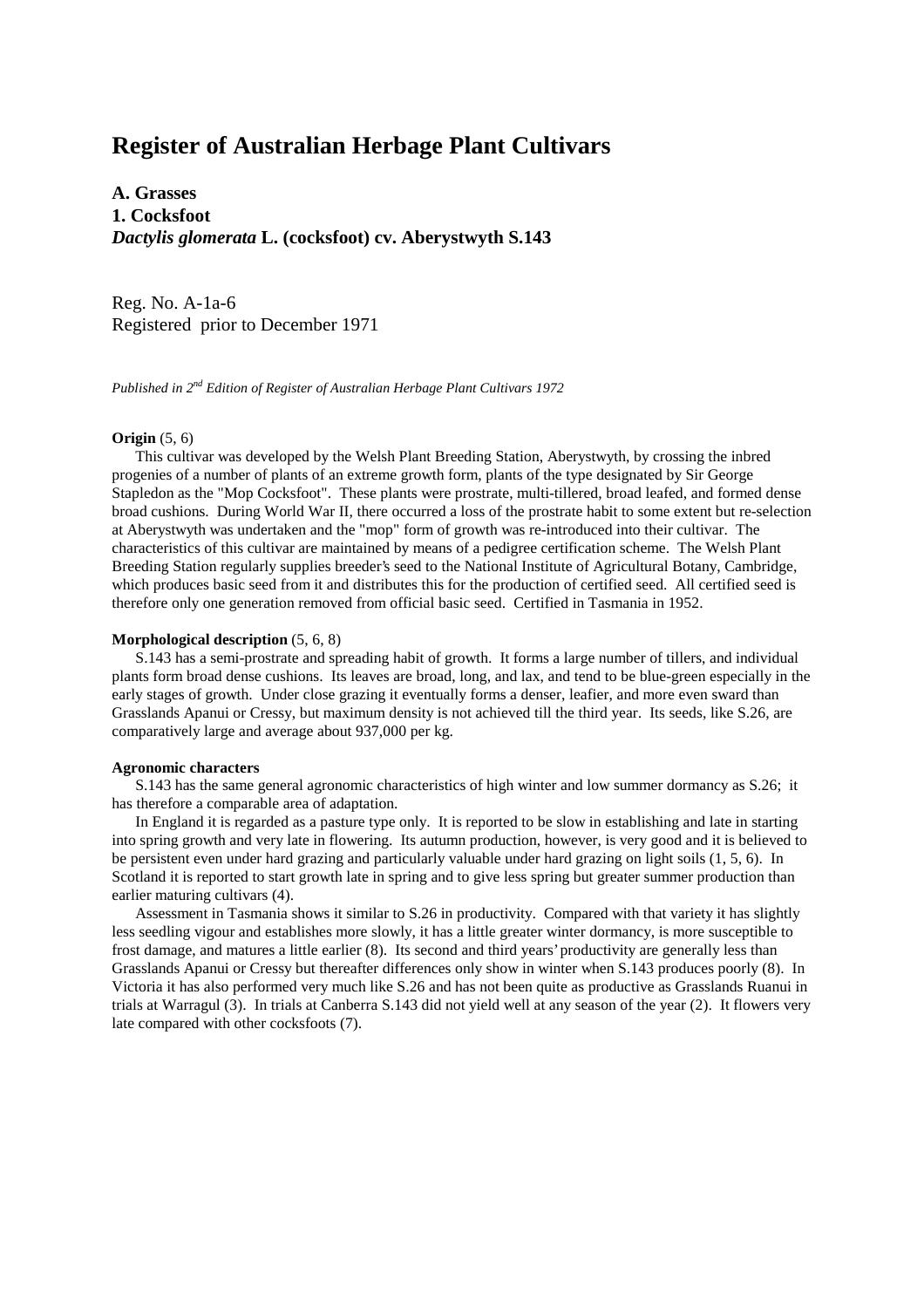# **Register of Australian Herbage Plant Cultivars**

**A. Grasses 1. Cocksfoot** *Dactylis glomerata* **L. (cocksfoot) cv. Aberystwyth S.143**

Reg. No. A-1a-6 Registered prior to December 1971

*Published in 2nd Edition of Register of Australian Herbage Plant Cultivars 1972*

## **Origin** (5, 6)

 This cultivar was developed by the Welsh Plant Breeding Station, Aberystwyth, by crossing the inbred progenies of a number of plants of an extreme growth form, plants of the type designated by Sir George Stapledon as the "Mop Cocksfoot". These plants were prostrate, multi-tillered, broad leafed, and formed dense broad cushions. During World War II, there occurred a loss of the prostrate habit to some extent but re-selection at Aberystwyth was undertaken and the "mop" form of growth was re-introduced into their cultivar. The characteristics of this cultivar are maintained by means of a pedigree certification scheme. The Welsh Plant Breeding Station regularly supplies breeder's seed to the National Institute of Agricultural Botany, Cambridge, which produces basic seed from it and distributes this for the production of certified seed. All certified seed is therefore only one generation removed from official basic seed. Certified in Tasmania in 1952.

## **Morphological description** (5, 6, 8)

 S.143 has a semi-prostrate and spreading habit of growth. It forms a large number of tillers, and individual plants form broad dense cushions. Its leaves are broad, long, and lax, and tend to be blue-green especially in the early stages of growth. Under close grazing it eventually forms a denser, leafier, and more even sward than Grasslands Apanui or Cressy, but maximum density is not achieved till the third year. Its seeds, like S.26, are comparatively large and average about 937,000 per kg.

#### **Agronomic characters**

 S.143 has the same general agronomic characteristics of high winter and low summer dormancy as S.26; it has therefore a comparable area of adaptation.

 In England it is regarded as a pasture type only. It is reported to be slow in establishing and late in starting into spring growth and very late in flowering. Its autumn production, however, is very good and it is believed to be persistent even under hard grazing and particularly valuable under hard grazing on light soils (1, 5, 6). In Scotland it is reported to start growth late in spring and to give less spring but greater summer production than earlier maturing cultivars (4).

 Assessment in Tasmania shows it similar to S.26 in productivity. Compared with that variety it has slightly less seedling vigour and establishes more slowly, it has a little greater winter dormancy, is more susceptible to frost damage, and matures a little earlier (8). Its second and third years' productivity are generally less than Grasslands Apanui or Cressy but thereafter differences only show in winter when S.143 produces poorly (8). In Victoria it has also performed very much like S.26 and has not been quite as productive as Grasslands Ruanui in trials at Warragul (3). In trials at Canberra S.143 did not yield well at any season of the year (2). It flowers very late compared with other cocksfoots (7).